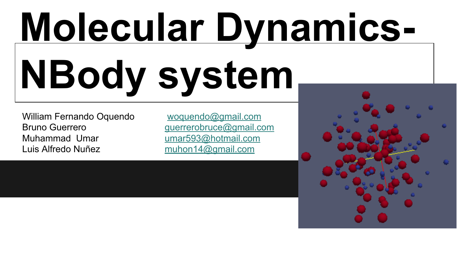# **Molecular Dynamics-NBody system**

William Fernando Oquendo woquendo@gmail.com Bruno Guerrero et al. expansion de querrerobruce@gmail.com Muhammad Umar umar593@hotmail.[com](mailto:umar593@hotmail.com) Luis Alfredo Nuñez muhon14@gmail.com

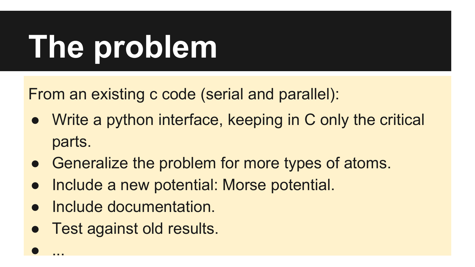## **The problem**

From an existing c code (serial and parallel):

- Write a python interface, keeping in C only the critical parts.
- Generalize the problem for more types of atoms.
- Include a new potential: Morse potential.
- Include documentation.
- Test against old results.

● ...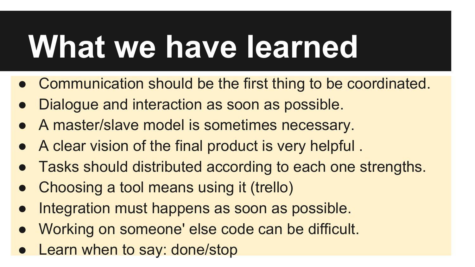## **What we have learned**

- Communication should be the first thing to be coordinated.
- Dialogue and interaction as soon as possible.
- A master/slave model is sometimes necessary.
- A clear vision of the final product is very helpful .
- Tasks should distributed according to each one strengths.
- Choosing a tool means using it (trello)
- Integration must happens as soon as possible.
- Working on someone' else code can be difficult.
- Learn when to say: done/stop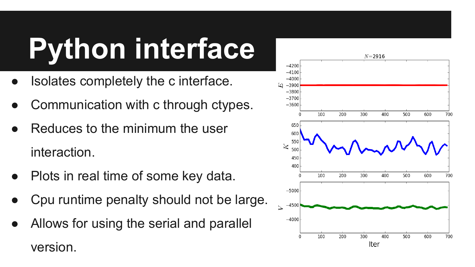## **Python interface**

- Isolates completely the c interface.
- Communication with c through ctypes.
- Reduces to the minimum the user interaction.
- Plots in real time of some key data.
- Cpu runtime penalty should not be large.
- Allows for using the serial and parallel version.

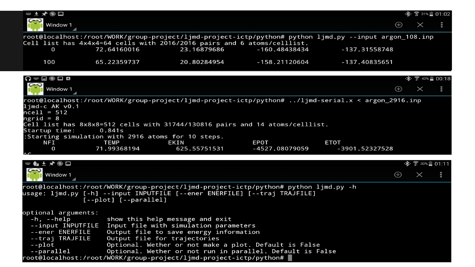| ₩± ★●□                                                                                                                                                                                    |                                                                                                                                                                                   |                                                                                                                                                              |                 |                |                   | ※ ☆ 31%■ 01:02                        |   |  |  |
|-------------------------------------------------------------------------------------------------------------------------------------------------------------------------------------------|-----------------------------------------------------------------------------------------------------------------------------------------------------------------------------------|--------------------------------------------------------------------------------------------------------------------------------------------------------------|-----------------|----------------|-------------------|---------------------------------------|---|--|--|
| Window 1                                                                                                                                                                                  |                                                                                                                                                                                   |                                                                                                                                                              |                 |                | $\bigoplus$       | $\times$                              |   |  |  |
| root@localhost:/root/WORK/group-project/ljmd-project-ictp/python# python ljmd.py --input argon_108.inp                                                                                    |                                                                                                                                                                                   |                                                                                                                                                              |                 |                |                   |                                       |   |  |  |
|                                                                                                                                                                                           | Cell list has 4x4x4=64 cells with 2016/2016 pairs and 6 atoms/celllist.                                                                                                           |                                                                                                                                                              |                 |                |                   |                                       |   |  |  |
| 0                                                                                                                                                                                         | 72.64160016                                                                                                                                                                       | 23.16879686                                                                                                                                                  | -160.48438434   | -137.31558748  |                   |                                       |   |  |  |
| 100                                                                                                                                                                                       | 65.22359737                                                                                                                                                                       | 20.80284954                                                                                                                                                  | $-158.21120604$ | -137.40835651  |                   |                                       |   |  |  |
| $\Omega = 0$ $\Omega$ $\Lambda$                                                                                                                                                           |                                                                                                                                                                                   |                                                                                                                                                              |                 |                |                   | $\frac{1}{2}$ $\frac{1}{2}$ 42% 00:18 |   |  |  |
| Window 1                                                                                                                                                                                  |                                                                                                                                                                                   |                                                                                                                                                              |                 |                | $\bigoplus$       | $\times$                              | н |  |  |
| $1$ jmd-c AK v $0.1$<br>$ncell = 512$<br>ngrid = $8$                                                                                                                                      | root@localhost:/root/WORK/group-project/ljmd-project-ictp/python# /ljmd-serial.x < argon_2916.inp<br>Cell list has 8x8x8=512 cells with 31744/130816 pairs and 14 atoms/celllist. |                                                                                                                                                              |                 |                |                   |                                       |   |  |  |
| Startup time:                                                                                                                                                                             | 0.841s                                                                                                                                                                            |                                                                                                                                                              |                 |                |                   |                                       |   |  |  |
| <b>NFI</b>                                                                                                                                                                                | :Starting simulation with 2916 atoms for 10 steps.<br><b>TEMP</b><br><b>EKIN</b>                                                                                                  |                                                                                                                                                              | <b>EPOT</b>     | <b>ETOT</b>    |                   |                                       |   |  |  |
| 0                                                                                                                                                                                         | 71.99368194                                                                                                                                                                       | 625.55751531                                                                                                                                                 | -4527.08079059  | -3901.52327528 |                   |                                       |   |  |  |
| ▥◐±メ◉▤                                                                                                                                                                                    |                                                                                                                                                                                   |                                                                                                                                                              |                 |                |                   |                                       |   |  |  |
| Window 1                                                                                                                                                                                  |                                                                                                                                                                                   |                                                                                                                                                              |                 |                | $\left( +\right)$ | $\times$                              |   |  |  |
| root@localhost:/root/WORK/group-project/ljmd-project-ictp/python# python ljmd.py -h<br>usage: ljmd.py [-h] --input INPUTFILE [--ener ENERFILE] [--traj TRAJFILE]<br>[--plot] [--parallel] |                                                                                                                                                                                   |                                                                                                                                                              |                 |                |                   |                                       |   |  |  |
| optional arguments:<br>$-h$ , $-help$<br>--input INPUTFILE<br>--ener ENERFILE<br>--traj TRAJFILE<br>$-\rho$ lot<br>--parallel                                                             | show this help message and exit<br>Input file with simulation parameters<br>Output file for trajectories<br>root@localhost:/root/WORK/group-project/ljmd-project-ictp/python#     | Output file to save energy information<br>Optional. Wether or not make a plot. Default is False<br>Optional. Wether or not run in parallel. Default is False |                 |                |                   |                                       |   |  |  |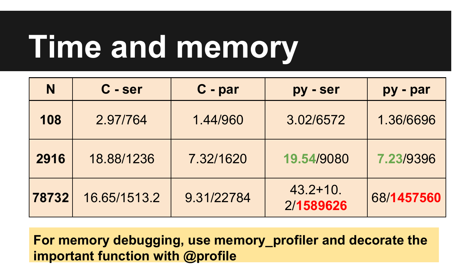## **Time and memory**

| N     | C - ser      | C - par    | py - ser                  | py - par   |  |
|-------|--------------|------------|---------------------------|------------|--|
| 108   | 2.97/764     | 1.44/960   | 3.02/6572                 | 1.36/6696  |  |
| 2916  | 18.88/1236   | 7.32/1620  | 19,54/9080                | 7.23/9396  |  |
| 78732 | 16.65/1513.2 | 9.31/22784 | $43.2 + 10.$<br>2/1589626 | 68/1457560 |  |

**For memory debugging, use memory\_profiler and decorate the important function with @profile**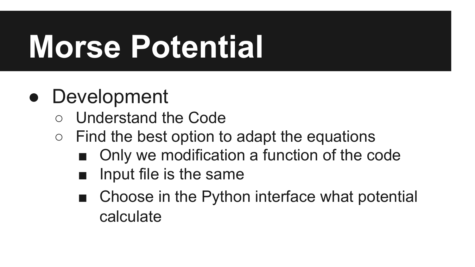## **Morse Potential**

#### • Development

- Understand the Code
- $\circ$  Find the best option to adapt the equations
	- Only we modification a function of the code
	- Input file is the same
	- Choose in the Python interface what potential calculate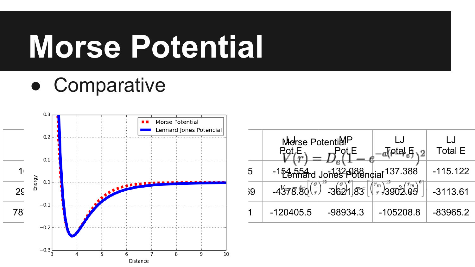## **Morse Potential**

● Comparative



|        |               | Lennard Jones Potencial |  |    |                 |            |                       |                |
|--------|---------------|-------------------------|--|----|-----------------|------------|-----------------------|----------------|
|        | 0.2           |                         |  |    | Morse PotentiaP |            |                       |                |
|        | 0.1           |                         |  |    |                 |            |                       | <b>Total E</b> |
|        |               |                         |  | 5  |                 |            |                       | $-115.122$     |
| $2\xi$ | Energy<br>0.0 | <b>ALLEL</b>            |  | 39 |                 | 362/187    | $3902^{\frac{rm}{m}}$ | $-3113.61$     |
| 78     | $-0.1$        |                         |  |    | $-120405.5$     | $-98934.3$ | $-105208.8$           | $-83965.2$     |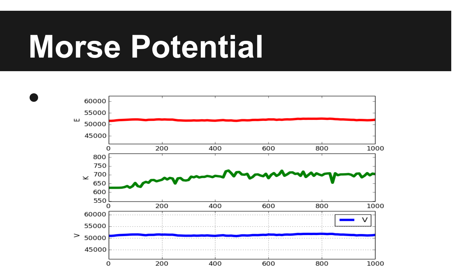## **Morse Potential**

 $\bullet$ 

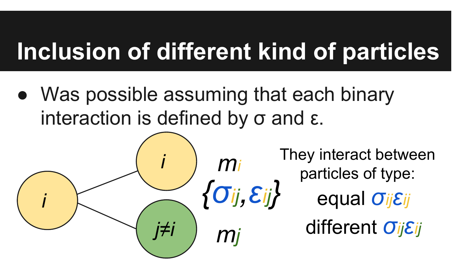### **Ιnclusion of different kind of particles**

• Was possible assuming that each binary interaction is defined by  $σ$  and  $ε$ .

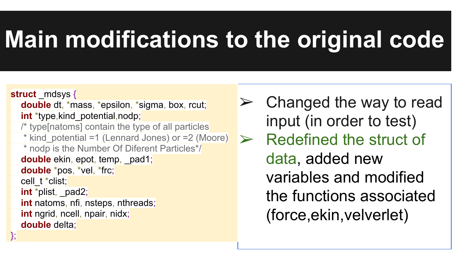#### **Main modifications to the original code**

**struct** mdsys { **double** dt, \*mass, \*epsilon, \*sigma, box, rcut; **int** \*type, kind potential, nodp; /\* type[natoms] contain the type of all particles \* kind\_potential =1 (Lennard Jones) or =2 (Moore) \* nodp is the Number Of Diferent Particles\*/ **double** ekin, epot, temp, pad1; **double** \*pos, \*vel, \*frc; cell\_t \*clist; **int** \*plist, \_pad2; **int** natoms, nfi, nsteps, nthreads; **int** ngrid, ncell, npair, nidx; **double** delta;

};

 $\triangleright$  Changed the way to read input (in order to test) Redefined the struct of data, added new variables and modified the functions associated (force,ekin,velverlet)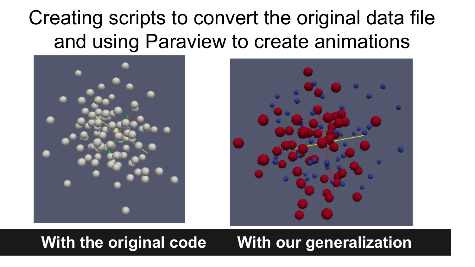#### Creating scripts to convert the original data file and using Paraview to create animations





#### **With the original code With our generalization**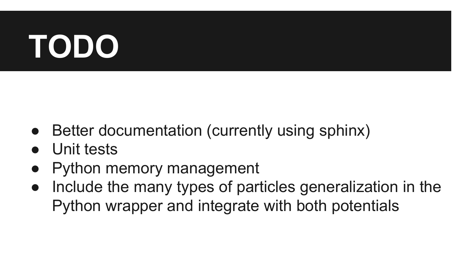## **TODO**

- Better documentation (currently using sphinx)
- Unit tests
- **Python memory management**
- Include the many types of particles generalization in the Python wrapper and integrate with both potentials